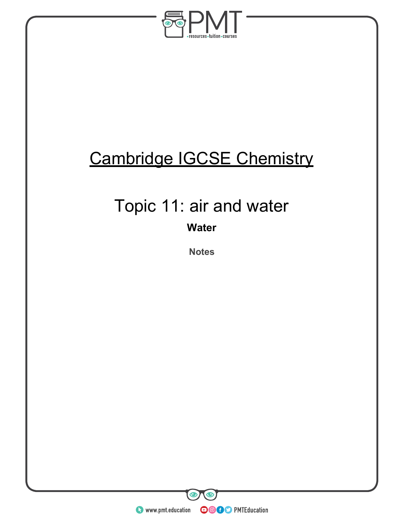

## Cambridge IGCSE Chemistry

## Topic 11: air and water

**Water** 

**Notes** 

**O** www.pmt.education **COOC** PMTEducation

 $\bullet$